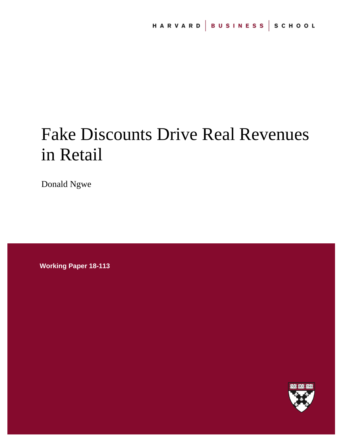# Fake Discounts Drive Real Revenues in Retail

Donald Ngwe

**Working Paper 18-113**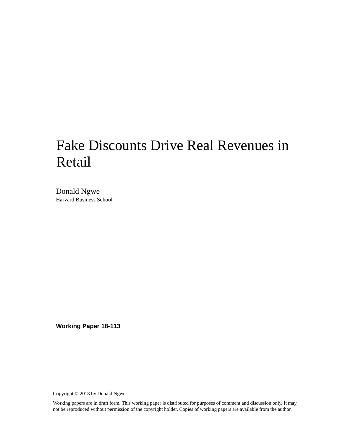## Fake Discounts Drive Real Revenues in Retail

Donald Ngwe Harvard Business School

**Working Paper 18-113**

Copyright © 2018 by Donald Ngwe

Working papers are in draft form. This working paper is distributed for purposes of comment and discussion only. It may not be reproduced without permission of the copyright holder. Copies of working papers are available from the author.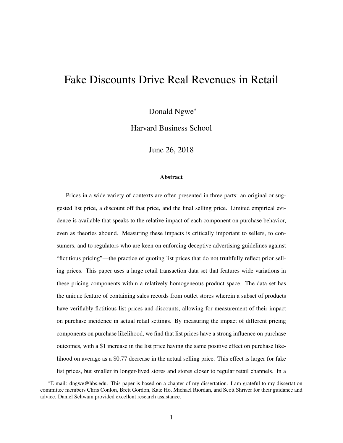## Fake Discounts Drive Real Revenues in Retail

Donald Ngwe<sup>∗</sup>

Harvard Business School

June 26, 2018

#### Abstract

Prices in a wide variety of contexts are often presented in three parts: an original or suggested list price, a discount off that price, and the final selling price. Limited empirical evidence is available that speaks to the relative impact of each component on purchase behavior, even as theories abound. Measuring these impacts is critically important to sellers, to consumers, and to regulators who are keen on enforcing deceptive advertising guidelines against "fictitious pricing"—the practice of quoting list prices that do not truthfully reflect prior selling prices. This paper uses a large retail transaction data set that features wide variations in these pricing components within a relatively homogeneous product space. The data set has the unique feature of containing sales records from outlet stores wherein a subset of products have verifiably fictitious list prices and discounts, allowing for measurement of their impact on purchase incidence in actual retail settings. By measuring the impact of different pricing components on purchase likelihood, we find that list prices have a strong influence on purchase outcomes, with a \$1 increase in the list price having the same positive effect on purchase likelihood on average as a \$0.77 decrease in the actual selling price. This effect is larger for fake list prices, but smaller in longer-lived stores and stores closer to regular retail channels. In a

<sup>∗</sup>E-mail: dngwe@hbs.edu. This paper is based on a chapter of my dissertation. I am grateful to my dissertation committee members Chris Conlon, Brett Gordon, Kate Ho, Michael Riordan, and Scott Shriver for their guidance and advice. Daniel Schwam provided excellent research assistance.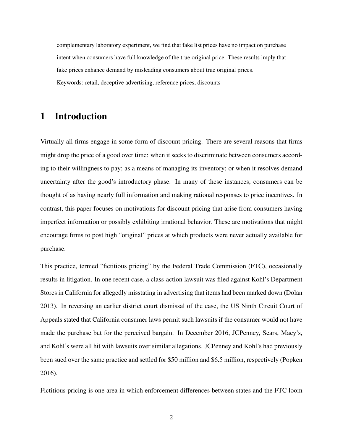complementary laboratory experiment, we find that fake list prices have no impact on purchase intent when consumers have full knowledge of the true original price. These results imply that fake prices enhance demand by misleading consumers about true original prices. Keywords: retail, deceptive advertising, reference prices, discounts

## 1 Introduction

Virtually all firms engage in some form of discount pricing. There are several reasons that firms might drop the price of a good over time: when it seeks to discriminate between consumers according to their willingness to pay; as a means of managing its inventory; or when it resolves demand uncertainty after the good's introductory phase. In many of these instances, consumers can be thought of as having nearly full information and making rational responses to price incentives. In contrast, this paper focuses on motivations for discount pricing that arise from consumers having imperfect information or possibly exhibiting irrational behavior. These are motivations that might encourage firms to post high "original" prices at which products were never actually available for purchase.

This practice, termed "fictitious pricing" by the Federal Trade Commission (FTC), occasionally results in litigation. In one recent case, a class-action lawsuit was filed against Kohl's Department Stores in California for allegedly misstating in advertising that items had been marked down (Dolan 2013). In reversing an earlier district court dismissal of the case, the US Ninth Circuit Court of Appeals stated that California consumer laws permit such lawsuits if the consumer would not have made the purchase but for the perceived bargain. In December 2016, JCPenney, Sears, Macy's, and Kohl's were all hit with lawsuits over similar allegations. JCPenney and Kohl's had previously been sued over the same practice and settled for \$50 million and \$6.5 million, respectively (Popken 2016).

Fictitious pricing is one area in which enforcement differences between states and the FTC loom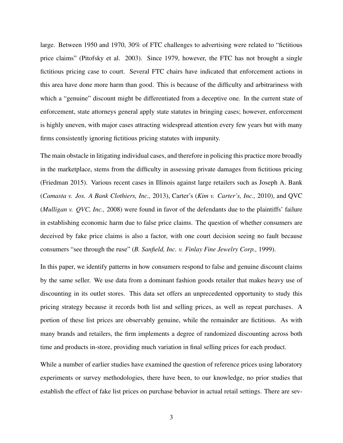large. Between 1950 and 1970, 30% of FTC challenges to advertising were related to "fictitious price claims" (Pitofsky et al. 2003). Since 1979, however, the FTC has not brought a single fictitious pricing case to court. Several FTC chairs have indicated that enforcement actions in this area have done more harm than good. This is because of the difficulty and arbitrariness with which a "genuine" discount might be differentiated from a deceptive one. In the current state of enforcement, state attorneys general apply state statutes in bringing cases; however, enforcement is highly uneven, with major cases attracting widespread attention every few years but with many firms consistently ignoring fictitious pricing statutes with impunity.

The main obstacle in litigating individual cases, and therefore in policing this practice more broadly in the marketplace, stems from the difficulty in assessing private damages from fictitious pricing (Friedman 2015). Various recent cases in Illinois against large retailers such as Joseph A. Bank (*Camasta v. Jos. A Bank Clothiers, Inc.,* 2013), Carter's (*Kim v. Carter's, Inc.,* 2010), and QVC (*Mulligan v. QVC, Inc.,* 2008) were found in favor of the defendants due to the plaintiffs' failure in establishing economic harm due to false price claims. The question of whether consumers are deceived by fake price claims is also a factor, with one court decision seeing no fault because consumers "see through the ruse" (*B. Sanfield, Inc. v. Finlay Fine Jewelry Corp.,* 1999).

In this paper, we identify patterns in how consumers respond to false and genuine discount claims by the same seller. We use data from a dominant fashion goods retailer that makes heavy use of discounting in its outlet stores. This data set offers an unprecedented opportunity to study this pricing strategy because it records both list and selling prices, as well as repeat purchases. A portion of these list prices are observably genuine, while the remainder are fictitious. As with many brands and retailers, the firm implements a degree of randomized discounting across both time and products in-store, providing much variation in final selling prices for each product.

While a number of earlier studies have examined the question of reference prices using laboratory experiments or survey methodologies, there have been, to our knowledge, no prior studies that establish the effect of fake list prices on purchase behavior in actual retail settings. There are sev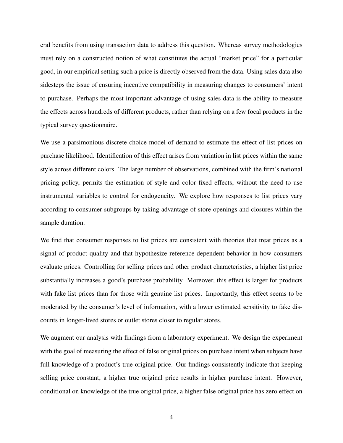eral benefits from using transaction data to address this question. Whereas survey methodologies must rely on a constructed notion of what constitutes the actual "market price" for a particular good, in our empirical setting such a price is directly observed from the data. Using sales data also sidesteps the issue of ensuring incentive compatibility in measuring changes to consumers' intent to purchase. Perhaps the most important advantage of using sales data is the ability to measure the effects across hundreds of different products, rather than relying on a few focal products in the typical survey questionnaire.

We use a parsimonious discrete choice model of demand to estimate the effect of list prices on purchase likelihood. Identification of this effect arises from variation in list prices within the same style across different colors. The large number of observations, combined with the firm's national pricing policy, permits the estimation of style and color fixed effects, without the need to use instrumental variables to control for endogeneity. We explore how responses to list prices vary according to consumer subgroups by taking advantage of store openings and closures within the sample duration.

We find that consumer responses to list prices are consistent with theories that treat prices as a signal of product quality and that hypothesize reference-dependent behavior in how consumers evaluate prices. Controlling for selling prices and other product characteristics, a higher list price substantially increases a good's purchase probability. Moreover, this effect is larger for products with fake list prices than for those with genuine list prices. Importantly, this effect seems to be moderated by the consumer's level of information, with a lower estimated sensitivity to fake discounts in longer-lived stores or outlet stores closer to regular stores.

We augment our analysis with findings from a laboratory experiment. We design the experiment with the goal of measuring the effect of false original prices on purchase intent when subjects have full knowledge of a product's true original price. Our findings consistently indicate that keeping selling price constant, a higher true original price results in higher purchase intent. However, conditional on knowledge of the true original price, a higher false original price has zero effect on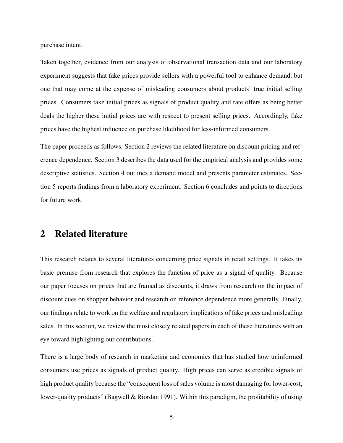purchase intent.

Taken together, evidence from our analysis of observational transaction data and our laboratory experiment suggests that fake prices provide sellers with a powerful tool to enhance demand, but one that may come at the expense of misleading consumers about products' true initial selling prices. Consumers take initial prices as signals of product quality and rate offers as being better deals the higher these initial prices are with respect to present selling prices. Accordingly, fake prices have the highest influence on purchase likelihood for less-informed consumers.

The paper proceeds as follows. Section 2 reviews the related literature on discount pricing and reference dependence. Section 3 describes the data used for the empirical analysis and provides some descriptive statistics. Section 4 outlines a demand model and presents parameter estimates. Section 5 reports findings from a laboratory experiment. Section 6 concludes and points to directions for future work.

## 2 Related literature

This research relates to several literatures concerning price signals in retail settings. It takes its basic premise from research that explores the function of price as a signal of quality. Because our paper focuses on prices that are framed as discounts, it draws from research on the impact of discount cues on shopper behavior and research on reference dependence more generally. Finally, our findings relate to work on the welfare and regulatory implications of fake prices and misleading sales. In this section, we review the most closely related papers in each of these literatures with an eye toward highlighting our contributions.

There is a large body of research in marketing and economics that has studied how uninformed consumers use prices as signals of product quality. High prices can serve as credible signals of high product quality because the "consequent loss of sales volume is most damaging for lower-cost, lower-quality products" (Bagwell & Riordan 1991). Within this paradigm, the profitability of using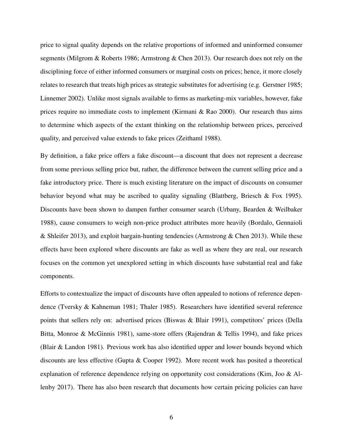price to signal quality depends on the relative proportions of informed and uninformed consumer segments (Milgrom & Roberts 1986; Armstrong & Chen 2013). Our research does not rely on the disciplining force of either informed consumers or marginal costs on prices; hence, it more closely relates to research that treats high prices as strategic substitutes for advertising (e.g. Gerstner 1985; Linnemer 2002). Unlike most signals available to firms as marketing-mix variables, however, fake prices require no immediate costs to implement (Kirmani & Rao 2000). Our research thus aims to determine which aspects of the extant thinking on the relationship between prices, perceived quality, and perceived value extends to fake prices (Zeithaml 1988).

By definition, a fake price offers a fake discount—a discount that does not represent a decrease from some previous selling price but, rather, the difference between the current selling price and a fake introductory price. There is much existing literature on the impact of discounts on consumer behavior beyond what may be ascribed to quality signaling (Blattberg, Briesch & Fox 1995). Discounts have been shown to dampen further consumer search (Urbany, Bearden & Weilbaker 1988), cause consumers to weigh non-price product attributes more heavily (Bordalo, Gennaioli & Shleifer 2013), and exploit bargain-hunting tendencies (Armstrong & Chen 2013). While these effects have been explored where discounts are fake as well as where they are real, our research focuses on the common yet unexplored setting in which discounts have substantial real and fake components.

Efforts to contextualize the impact of discounts have often appealed to notions of reference dependence (Tversky & Kahneman 1981; Thaler 1985). Researchers have identified several reference points that sellers rely on: advertised prices (Biswas & Blair 1991), competitors' prices (Della Bitta, Monroe & McGinnis 1981), same-store offers (Rajendran & Tellis 1994), and fake prices (Blair & Landon 1981). Previous work has also identified upper and lower bounds beyond which discounts are less effective (Gupta & Cooper 1992). More recent work has posited a theoretical explanation of reference dependence relying on opportunity cost considerations (Kim, Joo & Allenby 2017). There has also been research that documents how certain pricing policies can have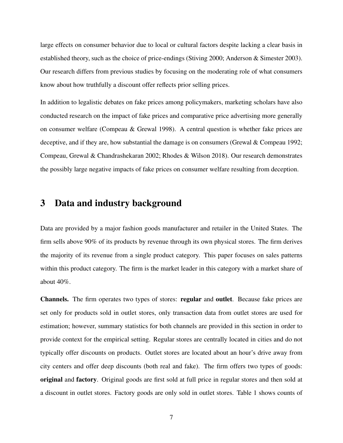large effects on consumer behavior due to local or cultural factors despite lacking a clear basis in established theory, such as the choice of price-endings (Stiving 2000; Anderson & Simester 2003). Our research differs from previous studies by focusing on the moderating role of what consumers know about how truthfully a discount offer reflects prior selling prices.

In addition to legalistic debates on fake prices among policymakers, marketing scholars have also conducted research on the impact of fake prices and comparative price advertising more generally on consumer welfare (Compeau & Grewal 1998). A central question is whether fake prices are deceptive, and if they are, how substantial the damage is on consumers (Grewal & Compeau 1992; Compeau, Grewal & Chandrashekaran 2002; Rhodes & Wilson 2018). Our research demonstrates the possibly large negative impacts of fake prices on consumer welfare resulting from deception.

## 3 Data and industry background

Data are provided by a major fashion goods manufacturer and retailer in the United States. The firm sells above 90% of its products by revenue through its own physical stores. The firm derives the majority of its revenue from a single product category. This paper focuses on sales patterns within this product category. The firm is the market leader in this category with a market share of about 40%.

Channels. The firm operates two types of stores: regular and outlet. Because fake prices are set only for products sold in outlet stores, only transaction data from outlet stores are used for estimation; however, summary statistics for both channels are provided in this section in order to provide context for the empirical setting. Regular stores are centrally located in cities and do not typically offer discounts on products. Outlet stores are located about an hour's drive away from city centers and offer deep discounts (both real and fake). The firm offers two types of goods: original and factory. Original goods are first sold at full price in regular stores and then sold at a discount in outlet stores. Factory goods are only sold in outlet stores. Table 1 shows counts of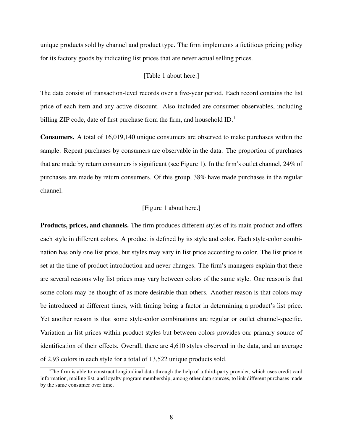unique products sold by channel and product type. The firm implements a fictitious pricing policy for its factory goods by indicating list prices that are never actual selling prices.

#### [Table 1 about here.]

The data consist of transaction-level records over a five-year period. Each record contains the list price of each item and any active discount. Also included are consumer observables, including billing ZIP code, date of first purchase from the firm, and household ID.<sup>1</sup>

Consumers. A total of 16,019,140 unique consumers are observed to make purchases within the sample. Repeat purchases by consumers are observable in the data. The proportion of purchases that are made by return consumers is significant (see Figure 1). In the firm's outlet channel, 24% of purchases are made by return consumers. Of this group, 38% have made purchases in the regular channel.

#### [Figure 1 about here.]

Products, prices, and channels. The firm produces different styles of its main product and offers each style in different colors. A product is defined by its style and color. Each style-color combination has only one list price, but styles may vary in list price according to color. The list price is set at the time of product introduction and never changes. The firm's managers explain that there are several reasons why list prices may vary between colors of the same style. One reason is that some colors may be thought of as more desirable than others. Another reason is that colors may be introduced at different times, with timing being a factor in determining a product's list price. Yet another reason is that some style-color combinations are regular or outlet channel-specific. Variation in list prices within product styles but between colors provides our primary source of identification of their effects. Overall, there are 4,610 styles observed in the data, and an average of 2.93 colors in each style for a total of 13,522 unique products sold.

<sup>&</sup>lt;sup>1</sup>The firm is able to construct longitudinal data through the help of a third-party provider, which uses credit card information, mailing list, and loyalty program membership, among other data sources, to link different purchases made by the same consumer over time.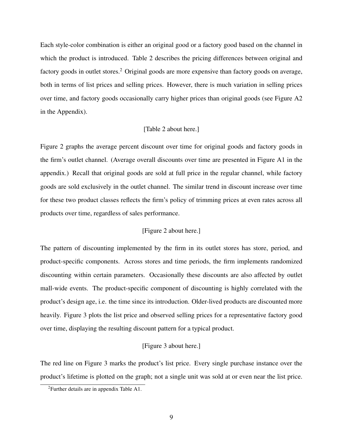Each style-color combination is either an original good or a factory good based on the channel in which the product is introduced. Table 2 describes the pricing differences between original and factory goods in outlet stores.<sup>2</sup> Original goods are more expensive than factory goods on average, both in terms of list prices and selling prices. However, there is much variation in selling prices over time, and factory goods occasionally carry higher prices than original goods (see Figure A2 in the Appendix).

#### [Table 2 about here.]

Figure 2 graphs the average percent discount over time for original goods and factory goods in the firm's outlet channel. (Average overall discounts over time are presented in Figure A1 in the appendix.) Recall that original goods are sold at full price in the regular channel, while factory goods are sold exclusively in the outlet channel. The similar trend in discount increase over time for these two product classes reflects the firm's policy of trimming prices at even rates across all products over time, regardless of sales performance.

#### [Figure 2 about here.]

The pattern of discounting implemented by the firm in its outlet stores has store, period, and product-specific components. Across stores and time periods, the firm implements randomized discounting within certain parameters. Occasionally these discounts are also affected by outlet mall-wide events. The product-specific component of discounting is highly correlated with the product's design age, i.e. the time since its introduction. Older-lived products are discounted more heavily. Figure 3 plots the list price and observed selling prices for a representative factory good over time, displaying the resulting discount pattern for a typical product.

#### [Figure 3 about here.]

The red line on Figure 3 marks the product's list price. Every single purchase instance over the product's lifetime is plotted on the graph; not a single unit was sold at or even near the list price.

<sup>2</sup>Further details are in appendix Table A1.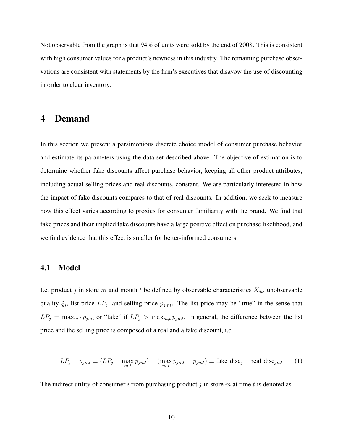Not observable from the graph is that 94% of units were sold by the end of 2008. This is consistent with high consumer values for a product's newness in this industry. The remaining purchase observations are consistent with statements by the firm's executives that disavow the use of discounting in order to clear inventory.

## 4 Demand

In this section we present a parsimonious discrete choice model of consumer purchase behavior and estimate its parameters using the data set described above. The objective of estimation is to determine whether fake discounts affect purchase behavior, keeping all other product attributes, including actual selling prices and real discounts, constant. We are particularly interested in how the impact of fake discounts compares to that of real discounts. In addition, we seek to measure how this effect varies according to proxies for consumer familiarity with the brand. We find that fake prices and their implied fake discounts have a large positive effect on purchase likelihood, and we find evidence that this effect is smaller for better-informed consumers.

#### 4.1 Model

Let product j in store m and month t be defined by observable characteristics  $X_{jt}$ , unobservable quality  $\xi_j$ , list price  $LP_j$ , and selling price  $p_{jmt}$ . The list price may be "true" in the sense that  $LP_j = \max_{m,t} p_{jmt}$  or "fake" if  $LP_j > \max_{m,t} p_{jmt}$ . In general, the difference between the list price and the selling price is composed of a real and a fake discount, i.e.

$$
LP_j - p_{jmt} \equiv (LP_j - \max_{m,t} p_{jmt}) + (\max_{m,t} p_{jmt} - p_{jmt}) \equiv \text{fake\_disc}_j + \text{real\_disc}_{jmt} \tag{1}
$$

The indirect utility of consumer i from purchasing product j in store m at time t is denoted as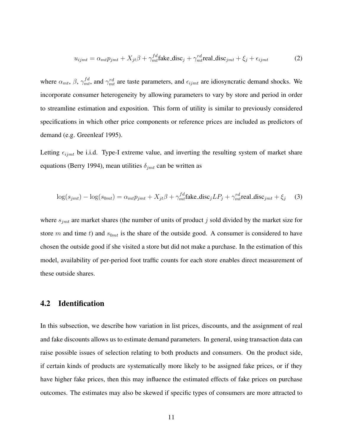$$
u_{ijmt} = \alpha_{mt} p_{jmt} + X_{jt} \beta + \gamma_{mt}^{fd} \text{fake\_disc}_j + \gamma_{mt}^{rd} \text{real\_disc}_{jmt} + \xi_j + \epsilon_{ijmt} \tag{2}
$$

where  $\alpha_{mt}$ ,  $\beta$ ,  $\gamma_{mt}^{fd}$ , and  $\gamma_{mt}^{rd}$  are taste parameters, and  $\epsilon_{ijmt}$  are idiosyncratic demand shocks. We incorporate consumer heterogeneity by allowing parameters to vary by store and period in order to streamline estimation and exposition. This form of utility is similar to previously considered specifications in which other price components or reference prices are included as predictors of demand (e.g. Greenleaf 1995).

Letting  $\epsilon_{ijmt}$  be i.i.d. Type-I extreme value, and inverting the resulting system of market share equations (Berry 1994), mean utilities  $\delta_{imt}$  can be written as

$$
\log(s_{jmt}) - \log(s_{0mt}) = \alpha_{mt}p_{jmt} + X_{jt}\beta + \gamma_{mt}^{fd}\text{fake\_disc}_jLP_j + \gamma_{mt}^{rd}\text{real\_disc}_{jmt} + \xi_j \tag{3}
$$

where  $s_{jmt}$  are market shares (the number of units of product  $j$  sold divided by the market size for store m and time t) and  $s_{0mt}$  is the share of the outside good. A consumer is considered to have chosen the outside good if she visited a store but did not make a purchase. In the estimation of this model, availability of per-period foot traffic counts for each store enables direct measurement of these outside shares.

#### 4.2 Identification

In this subsection, we describe how variation in list prices, discounts, and the assignment of real and fake discounts allows us to estimate demand parameters. In general, using transaction data can raise possible issues of selection relating to both products and consumers. On the product side, if certain kinds of products are systematically more likely to be assigned fake prices, or if they have higher fake prices, then this may influence the estimated effects of fake prices on purchase outcomes. The estimates may also be skewed if specific types of consumers are more attracted to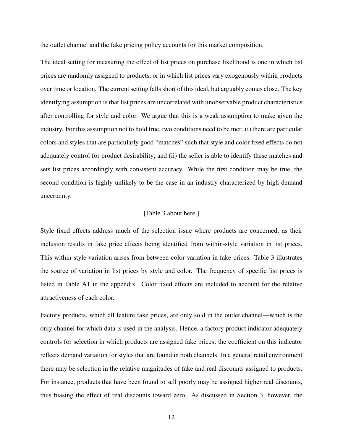the outlet channel and the fake pricing policy accounts for this market composition.

The ideal setting for measuring the effect of list prices on purchase likelihood is one in which list prices are randomly assigned to products, or in which list prices vary exogenously within products over time or location. The current setting falls short of this ideal, but arguably comes close. The key identifying assumption is that list prices are uncorrelated with unobservable product characteristics after controlling for style and color. We argue that this is a weak assumption to make given the industry. For this assumption not to hold true, two conditions need to be met: (i) there are particular colors and styles that are particularly good "matches" such that style and color fixed effects do not adequately control for product desirability; and (ii) the seller is able to identify these matches and sets list prices accordingly with consistent accuracy. While the first condition may be true, the second condition is highly unlikely to be the case in an industry characterized by high demand uncertainty.

#### [Table 3 about here.]

Style fixed effects address much of the selection issue where products are concerned, as their inclusion results in fake price effects being identified from within-style variation in list prices. This within-style variation arises from between-color variation in fake prices. Table 3 illustrates the source of variation in list prices by style and color. The frequency of specific list prices is listed in Table A1 in the appendix. Color fixed effects are included to account for the relative attractiveness of each color.

Factory products, which all feature fake prices, are only sold in the outlet channel—which is the only channel for which data is used in the analysis. Hence, a factory product indicator adequately controls for selection in which products are assigned fake prices; the coefficient on this indicator reflects demand variation for styles that are found in both channels. In a general retail environment there may be selection in the relative magnitudes of fake and real discounts assigned to products. For instance, products that have been found to sell poorly may be assigned higher real discounts, thus biasing the effect of real discounts toward zero. As discussed in Section 3, however, the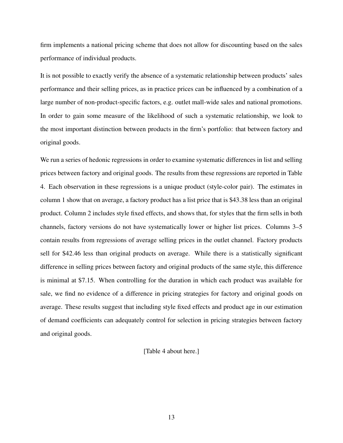firm implements a national pricing scheme that does not allow for discounting based on the sales performance of individual products.

It is not possible to exactly verify the absence of a systematic relationship between products' sales performance and their selling prices, as in practice prices can be influenced by a combination of a large number of non-product-specific factors, e.g. outlet mall-wide sales and national promotions. In order to gain some measure of the likelihood of such a systematic relationship, we look to the most important distinction between products in the firm's portfolio: that between factory and original goods.

We run a series of hedonic regressions in order to examine systematic differences in list and selling prices between factory and original goods. The results from these regressions are reported in Table 4. Each observation in these regressions is a unique product (style-color pair). The estimates in column 1 show that on average, a factory product has a list price that is \$43.38 less than an original product. Column 2 includes style fixed effects, and shows that, for styles that the firm sells in both channels, factory versions do not have systematically lower or higher list prices. Columns 3–5 contain results from regressions of average selling prices in the outlet channel. Factory products sell for \$42.46 less than original products on average. While there is a statistically significant difference in selling prices between factory and original products of the same style, this difference is minimal at \$7.15. When controlling for the duration in which each product was available for sale, we find no evidence of a difference in pricing strategies for factory and original goods on average. These results suggest that including style fixed effects and product age in our estimation of demand coefficients can adequately control for selection in pricing strategies between factory and original goods.

[Table 4 about here.]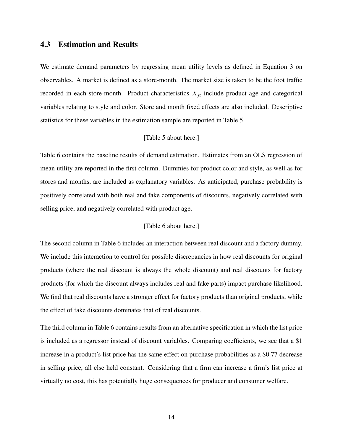#### 4.3 Estimation and Results

We estimate demand parameters by regressing mean utility levels as defined in Equation 3 on observables. A market is defined as a store-month. The market size is taken to be the foot traffic recorded in each store-month. Product characteristics  $X_{it}$  include product age and categorical variables relating to style and color. Store and month fixed effects are also included. Descriptive statistics for these variables in the estimation sample are reported in Table 5.

#### [Table 5 about here.]

Table 6 contains the baseline results of demand estimation. Estimates from an OLS regression of mean utility are reported in the first column. Dummies for product color and style, as well as for stores and months, are included as explanatory variables. As anticipated, purchase probability is positively correlated with both real and fake components of discounts, negatively correlated with selling price, and negatively correlated with product age.

#### [Table 6 about here.]

The second column in Table 6 includes an interaction between real discount and a factory dummy. We include this interaction to control for possible discrepancies in how real discounts for original products (where the real discount is always the whole discount) and real discounts for factory products (for which the discount always includes real and fake parts) impact purchase likelihood. We find that real discounts have a stronger effect for factory products than original products, while the effect of fake discounts dominates that of real discounts.

The third column in Table 6 contains results from an alternative specification in which the list price is included as a regressor instead of discount variables. Comparing coefficients, we see that a \$1 increase in a product's list price has the same effect on purchase probabilities as a \$0.77 decrease in selling price, all else held constant. Considering that a firm can increase a firm's list price at virtually no cost, this has potentially huge consequences for producer and consumer welfare.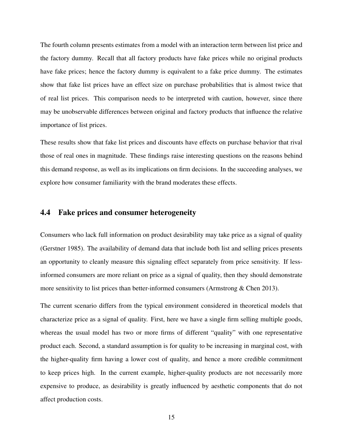The fourth column presents estimates from a model with an interaction term between list price and the factory dummy. Recall that all factory products have fake prices while no original products have fake prices; hence the factory dummy is equivalent to a fake price dummy. The estimates show that fake list prices have an effect size on purchase probabilities that is almost twice that of real list prices. This comparison needs to be interpreted with caution, however, since there may be unobservable differences between original and factory products that influence the relative importance of list prices.

These results show that fake list prices and discounts have effects on purchase behavior that rival those of real ones in magnitude. These findings raise interesting questions on the reasons behind this demand response, as well as its implications on firm decisions. In the succeeding analyses, we explore how consumer familiarity with the brand moderates these effects.

### 4.4 Fake prices and consumer heterogeneity

Consumers who lack full information on product desirability may take price as a signal of quality (Gerstner 1985). The availability of demand data that include both list and selling prices presents an opportunity to cleanly measure this signaling effect separately from price sensitivity. If lessinformed consumers are more reliant on price as a signal of quality, then they should demonstrate more sensitivity to list prices than better-informed consumers (Armstrong & Chen 2013).

The current scenario differs from the typical environment considered in theoretical models that characterize price as a signal of quality. First, here we have a single firm selling multiple goods, whereas the usual model has two or more firms of different "quality" with one representative product each. Second, a standard assumption is for quality to be increasing in marginal cost, with the higher-quality firm having a lower cost of quality, and hence a more credible commitment to keep prices high. In the current example, higher-quality products are not necessarily more expensive to produce, as desirability is greatly influenced by aesthetic components that do not affect production costs.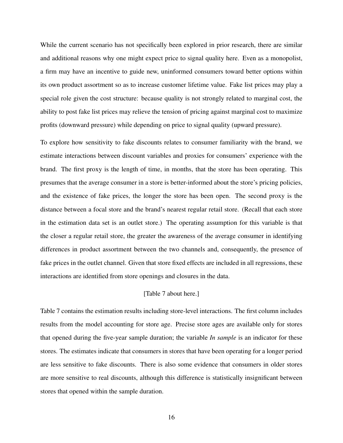While the current scenario has not specifically been explored in prior research, there are similar and additional reasons why one might expect price to signal quality here. Even as a monopolist, a firm may have an incentive to guide new, uninformed consumers toward better options within its own product assortment so as to increase customer lifetime value. Fake list prices may play a special role given the cost structure: because quality is not strongly related to marginal cost, the ability to post fake list prices may relieve the tension of pricing against marginal cost to maximize profits (downward pressure) while depending on price to signal quality (upward pressure).

To explore how sensitivity to fake discounts relates to consumer familiarity with the brand, we estimate interactions between discount variables and proxies for consumers' experience with the brand. The first proxy is the length of time, in months, that the store has been operating. This presumes that the average consumer in a store is better-informed about the store's pricing policies, and the existence of fake prices, the longer the store has been open. The second proxy is the distance between a focal store and the brand's nearest regular retail store. (Recall that each store in the estimation data set is an outlet store.) The operating assumption for this variable is that the closer a regular retail store, the greater the awareness of the average consumer in identifying differences in product assortment between the two channels and, consequently, the presence of fake prices in the outlet channel. Given that store fixed effects are included in all regressions, these interactions are identified from store openings and closures in the data.

#### [Table 7 about here.]

Table 7 contains the estimation results including store-level interactions. The first column includes results from the model accounting for store age. Precise store ages are available only for stores that opened during the five-year sample duration; the variable *In sample* is an indicator for these stores. The estimates indicate that consumers in stores that have been operating for a longer period are less sensitive to fake discounts. There is also some evidence that consumers in older stores are more sensitive to real discounts, although this difference is statistically insignificant between stores that opened within the sample duration.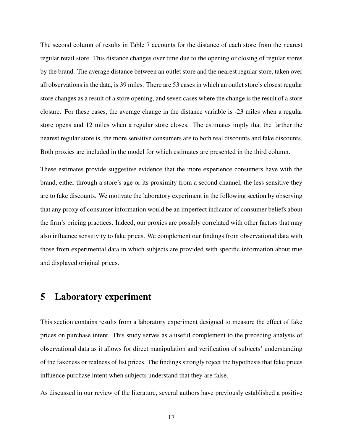The second column of results in Table 7 accounts for the distance of each store from the nearest regular retail store. This distance changes over time due to the opening or closing of regular stores by the brand. The average distance between an outlet store and the nearest regular store, taken over all observations in the data, is 39 miles. There are 53 cases in which an outlet store's closest regular store changes as a result of a store opening, and seven cases where the change is the result of a store closure. For these cases, the average change in the distance variable is -23 miles when a regular store opens and 12 miles when a regular store closes. The estimates imply that the farther the nearest regular store is, the more sensitive consumers are to both real discounts and fake discounts. Both proxies are included in the model for which estimates are presented in the third column.

These estimates provide suggestive evidence that the more experience consumers have with the brand, either through a store's age or its proximity from a second channel, the less sensitive they are to fake discounts. We motivate the laboratory experiment in the following section by observing that any proxy of consumer information would be an imperfect indicator of consumer beliefs about the firm's pricing practices. Indeed, our proxies are possibly correlated with other factors that may also influence sensitivity to fake prices. We complement our findings from observational data with those from experimental data in which subjects are provided with specific information about true and displayed original prices.

## 5 Laboratory experiment

This section contains results from a laboratory experiment designed to measure the effect of fake prices on purchase intent. This study serves as a useful complement to the preceding analysis of observational data as it allows for direct manipulation and verification of subjects' understanding of the fakeness or realness of list prices. The findings strongly reject the hypothesis that fake prices influence purchase intent when subjects understand that they are false.

As discussed in our review of the literature, several authors have previously established a positive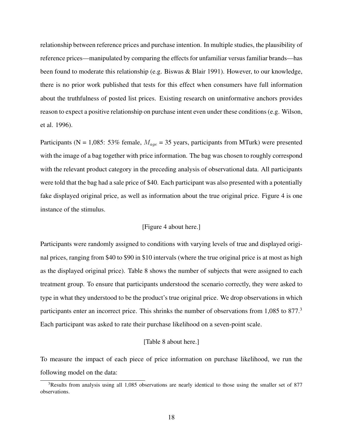relationship between reference prices and purchase intention. In multiple studies, the plausibility of reference prices—manipulated by comparing the effects for unfamiliar versus familiar brands—has been found to moderate this relationship (e.g. Biswas & Blair 1991). However, to our knowledge, there is no prior work published that tests for this effect when consumers have full information about the truthfulness of posted list prices. Existing research on uninformative anchors provides reason to expect a positive relationship on purchase intent even under these conditions (e.g. Wilson, et al. 1996).

Participants (N = 1,085: 53% female,  $M_{age} = 35$  years, participants from MTurk) were presented with the image of a bag together with price information. The bag was chosen to roughly correspond with the relevant product category in the preceding analysis of observational data. All participants were told that the bag had a sale price of \$40. Each participant was also presented with a potentially fake displayed original price, as well as information about the true original price. Figure 4 is one instance of the stimulus.

#### [Figure 4 about here.]

Participants were randomly assigned to conditions with varying levels of true and displayed original prices, ranging from \$40 to \$90 in \$10 intervals (where the true original price is at most as high as the displayed original price). Table 8 shows the number of subjects that were assigned to each treatment group. To ensure that participants understood the scenario correctly, they were asked to type in what they understood to be the product's true original price. We drop observations in which participants enter an incorrect price. This shrinks the number of observations from 1,085 to 877.<sup>3</sup> Each participant was asked to rate their purchase likelihood on a seven-point scale.

#### [Table 8 about here.]

To measure the impact of each piece of price information on purchase likelihood, we run the following model on the data:

<sup>&</sup>lt;sup>3</sup>Results from analysis using all 1,085 observations are nearly identical to those using the smaller set of 877 observations.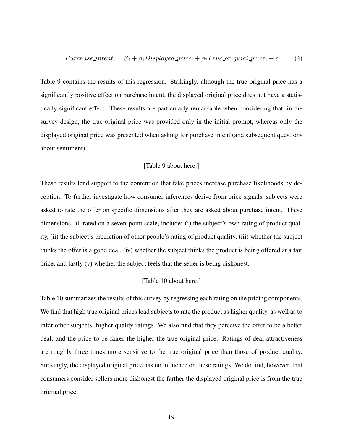$$
Purchase\_intent_i = \beta_0 + \beta_1 Displayed\_price_i + \beta_2 True\_original\_price_i + \epsilon \tag{4}
$$

Table 9 contains the results of this regression. Strikingly, although the true original price has a significantly positive effect on purchase intent, the displayed original price does not have a statistically significant effect. These results are particularly remarkable when considering that, in the survey design, the true original price was provided only in the initial prompt, whereas only the displayed original price was presented when asking for purchase intent (and subsequent questions about sentiment).

#### [Table 9 about here.]

These results lend support to the contention that fake prices increase purchase likelihoods by deception. To further investigate how consumer inferences derive from price signals, subjects were asked to rate the offer on specific dimensions after they are asked about purchase intent. These dimensions, all rated on a seven-point scale, include: (i) the subject's own rating of product quality, (ii) the subject's prediction of other people's rating of product quality, (iii) whether the subject thinks the offer is a good deal, (iv) whether the subject thinks the product is being offered at a fair price, and lastly (v) whether the subject feels that the seller is being dishonest.

#### [Table 10 about here.]

Table 10 summarizes the results of this survey by regressing each rating on the pricing components. We find that high true original prices lead subjects to rate the product as higher quality, as well as to infer other subjects' higher quality ratings. We also find that they perceive the offer to be a better deal, and the price to be fairer the higher the true original price. Ratings of deal attractiveness are roughly three times more sensitive to the true original price than those of product quality. Strikingly, the displayed original price has no influence on these ratings. We do find, however, that consumers consider sellers more dishonest the farther the displayed original price is from the true original price.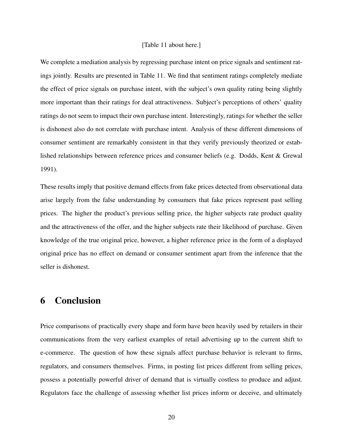#### [Table 11 about here.]

We complete a mediation analysis by regressing purchase intent on price signals and sentiment ratings jointly. Results are presented in Table 11. We find that sentiment ratings completely mediate the effect of price signals on purchase intent, with the subject's own quality rating being slightly more important than their ratings for deal attractiveness. Subject's perceptions of others' quality ratings do not seem to impact their own purchase intent. Interestingly, ratings for whether the seller is dishonest also do not correlate with purchase intent. Analysis of these different dimensions of consumer sentiment are remarkably consistent in that they verify previously theorized or established relationships between reference prices and consumer beliefs (e.g. Dodds, Kent & Grewal 1991).

These results imply that positive demand effects from fake prices detected from observational data arise largely from the false understanding by consumers that fake prices represent past selling prices. The higher the product's previous selling price, the higher subjects rate product quality and the attractiveness of the offer, and the higher subjects rate their likelihood of purchase. Given knowledge of the true original price, however, a higher reference price in the form of a displayed original price has no effect on demand or consumer sentiment apart from the inference that the seller is dishonest.

## 6 Conclusion

Price comparisons of practically every shape and form have been heavily used by retailers in their communications from the very earliest examples of retail advertising up to the current shift to e-commerce. The question of how these signals affect purchase behavior is relevant to firms, regulators, and consumers themselves. Firms, in posting list prices different from selling prices, possess a potentially powerful driver of demand that is virtually costless to produce and adjust. Regulators face the challenge of assessing whether list prices inform or deceive, and ultimately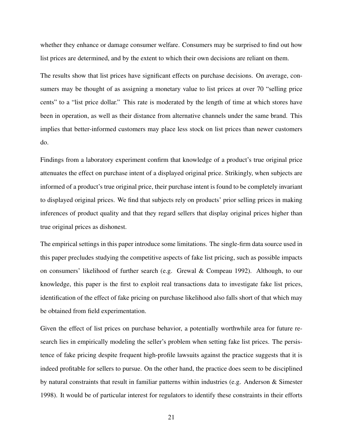whether they enhance or damage consumer welfare. Consumers may be surprised to find out how list prices are determined, and by the extent to which their own decisions are reliant on them.

The results show that list prices have significant effects on purchase decisions. On average, consumers may be thought of as assigning a monetary value to list prices at over 70 "selling price cents" to a "list price dollar." This rate is moderated by the length of time at which stores have been in operation, as well as their distance from alternative channels under the same brand. This implies that better-informed customers may place less stock on list prices than newer customers do.

Findings from a laboratory experiment confirm that knowledge of a product's true original price attenuates the effect on purchase intent of a displayed original price. Strikingly, when subjects are informed of a product's true original price, their purchase intent is found to be completely invariant to displayed original prices. We find that subjects rely on products' prior selling prices in making inferences of product quality and that they regard sellers that display original prices higher than true original prices as dishonest.

The empirical settings in this paper introduce some limitations. The single-firm data source used in this paper precludes studying the competitive aspects of fake list pricing, such as possible impacts on consumers' likelihood of further search (e.g. Grewal & Compeau 1992). Although, to our knowledge, this paper is the first to exploit real transactions data to investigate fake list prices, identification of the effect of fake pricing on purchase likelihood also falls short of that which may be obtained from field experimentation.

Given the effect of list prices on purchase behavior, a potentially worthwhile area for future research lies in empirically modeling the seller's problem when setting fake list prices. The persistence of fake pricing despite frequent high-profile lawsuits against the practice suggests that it is indeed profitable for sellers to pursue. On the other hand, the practice does seem to be disciplined by natural constraints that result in familiar patterns within industries (e.g. Anderson & Simester 1998). It would be of particular interest for regulators to identify these constraints in their efforts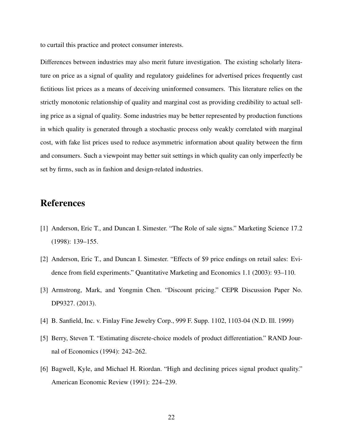to curtail this practice and protect consumer interests.

Differences between industries may also merit future investigation. The existing scholarly literature on price as a signal of quality and regulatory guidelines for advertised prices frequently cast fictitious list prices as a means of deceiving uninformed consumers. This literature relies on the strictly monotonic relationship of quality and marginal cost as providing credibility to actual selling price as a signal of quality. Some industries may be better represented by production functions in which quality is generated through a stochastic process only weakly correlated with marginal cost, with fake list prices used to reduce asymmetric information about quality between the firm and consumers. Such a viewpoint may better suit settings in which quality can only imperfectly be set by firms, such as in fashion and design-related industries.

## References

- [1] Anderson, Eric T., and Duncan I. Simester. "The Role of sale signs." Marketing Science 17.2 (1998): 139–155.
- [2] Anderson, Eric T., and Duncan I. Simester. "Effects of \$9 price endings on retail sales: Evidence from field experiments." Quantitative Marketing and Economics 1.1 (2003): 93–110.
- [3] Armstrong, Mark, and Yongmin Chen. "Discount pricing." CEPR Discussion Paper No. DP9327. (2013).
- [4] B. Sanfield, Inc. v. Finlay Fine Jewelry Corp., 999 F. Supp. 1102, 1103-04 (N.D. Ill. 1999)
- [5] Berry, Steven T. "Estimating discrete-choice models of product differentiation." RAND Journal of Economics (1994): 242–262.
- [6] Bagwell, Kyle, and Michael H. Riordan. "High and declining prices signal product quality." American Economic Review (1991): 224–239.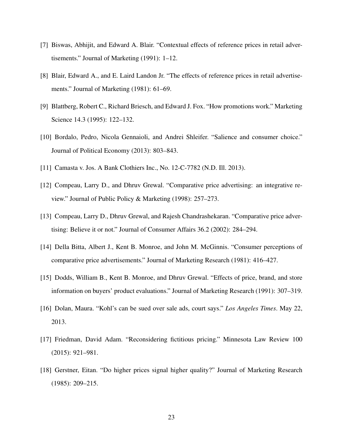- [7] Biswas, Abhijit, and Edward A. Blair. "Contextual effects of reference prices in retail advertisements." Journal of Marketing (1991): 1–12.
- [8] Blair, Edward A., and E. Laird Landon Jr. "The effects of reference prices in retail advertisements." Journal of Marketing (1981): 61–69.
- [9] Blattberg, Robert C., Richard Briesch, and Edward J. Fox. "How promotions work." Marketing Science 14.3 (1995): 122–132.
- [10] Bordalo, Pedro, Nicola Gennaioli, and Andrei Shleifer. "Salience and consumer choice." Journal of Political Economy (2013): 803–843.
- [11] Camasta v. Jos. A Bank Clothiers Inc., No. 12-C-7782 (N.D. Ill. 2013).
- [12] Compeau, Larry D., and Dhruv Grewal. "Comparative price advertising: an integrative review." Journal of Public Policy & Marketing (1998): 257–273.
- [13] Compeau, Larry D., Dhruv Grewal, and Rajesh Chandrashekaran. "Comparative price advertising: Believe it or not." Journal of Consumer Affairs 36.2 (2002): 284–294.
- [14] Della Bitta, Albert J., Kent B. Monroe, and John M. McGinnis. "Consumer perceptions of comparative price advertisements." Journal of Marketing Research (1981): 416–427.
- [15] Dodds, William B., Kent B. Monroe, and Dhruv Grewal. "Effects of price, brand, and store information on buyers' product evaluations." Journal of Marketing Research (1991): 307–319.
- [16] Dolan, Maura. "Kohl's can be sued over sale ads, court says." *Los Angeles Times*. May 22, 2013.
- [17] Friedman, David Adam. "Reconsidering fictitious pricing." Minnesota Law Review 100 (2015): 921–981.
- [18] Gerstner, Eitan. "Do higher prices signal higher quality?" Journal of Marketing Research (1985): 209–215.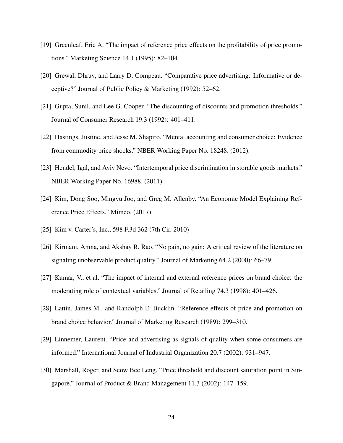- [19] Greenleaf, Eric A. "The impact of reference price effects on the profitability of price promotions." Marketing Science 14.1 (1995): 82–104.
- [20] Grewal, Dhruv, and Larry D. Compeau. "Comparative price advertising: Informative or deceptive?" Journal of Public Policy & Marketing (1992): 52–62.
- [21] Gupta, Sunil, and Lee G. Cooper. "The discounting of discounts and promotion thresholds." Journal of Consumer Research 19.3 (1992): 401–411.
- [22] Hastings, Justine, and Jesse M. Shapiro. "Mental accounting and consumer choice: Evidence from commodity price shocks." NBER Working Paper No. 18248. (2012).
- [23] Hendel, Igal, and Aviv Nevo. "Intertemporal price discrimination in storable goods markets." NBER Working Paper No. 16988. (2011).
- [24] Kim, Dong Soo, Mingyu Joo, and Greg M. Allenby. "An Economic Model Explaining Reference Price Effects." Mimeo. (2017).
- [25] Kim v. Carter's, Inc., 598 F.3d 362 (7th Cir. 2010)
- [26] Kirmani, Amna, and Akshay R. Rao. "No pain, no gain: A critical review of the literature on signaling unobservable product quality." Journal of Marketing 64.2 (2000): 66–79.
- [27] Kumar, V., et al. "The impact of internal and external reference prices on brand choice: the moderating role of contextual variables." Journal of Retailing 74.3 (1998): 401–426.
- [28] Lattin, James M., and Randolph E. Bucklin. "Reference effects of price and promotion on brand choice behavior." Journal of Marketing Research (1989): 299–310.
- [29] Linnemer, Laurent. "Price and advertising as signals of quality when some consumers are informed." International Journal of Industrial Organization 20.7 (2002): 931–947.
- [30] Marshall, Roger, and Seow Bee Leng. "Price threshold and discount saturation point in Singapore." Journal of Product & Brand Management 11.3 (2002): 147–159.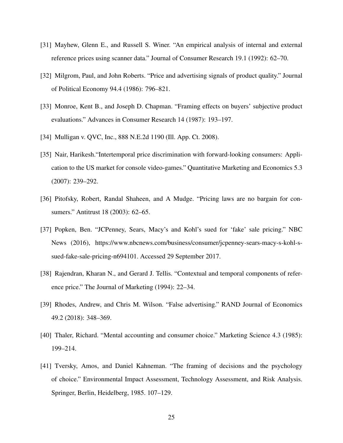- [31] Mayhew, Glenn E., and Russell S. Winer. "An empirical analysis of internal and external reference prices using scanner data." Journal of Consumer Research 19.1 (1992): 62–70.
- [32] Milgrom, Paul, and John Roberts. "Price and advertising signals of product quality." Journal of Political Economy 94.4 (1986): 796–821.
- [33] Monroe, Kent B., and Joseph D. Chapman. "Framing effects on buyers' subjective product evaluations." Advances in Consumer Research 14 (1987): 193–197.
- [34] Mulligan v. QVC, Inc., 888 N.E.2d 1190 (Ill. App. Ct. 2008).
- [35] Nair, Harikesh."Intertemporal price discrimination with forward-looking consumers: Application to the US market for console video-games." Quantitative Marketing and Economics 5.3 (2007): 239–292.
- [36] Pitofsky, Robert, Randal Shaheen, and A Mudge. "Pricing laws are no bargain for consumers." Antitrust 18 (2003): 62–65.
- [37] Popken, Ben. "JCPenney, Sears, Macy's and Kohl's sued for 'fake' sale pricing." NBC News (2016), https://www.nbcnews.com/business/consumer/jcpenney-sears-macy-s-kohl-ssued-fake-sale-pricing-n694101. Accessed 29 September 2017.
- [38] Rajendran, Kharan N., and Gerard J. Tellis. "Contextual and temporal components of reference price." The Journal of Marketing (1994): 22–34.
- [39] Rhodes, Andrew, and Chris M. Wilson. "False advertising." RAND Journal of Economics 49.2 (2018): 348–369.
- [40] Thaler, Richard. "Mental accounting and consumer choice." Marketing Science 4.3 (1985): 199–214.
- [41] Tversky, Amos, and Daniel Kahneman. "The framing of decisions and the psychology of choice." Environmental Impact Assessment, Technology Assessment, and Risk Analysis. Springer, Berlin, Heidelberg, 1985. 107–129.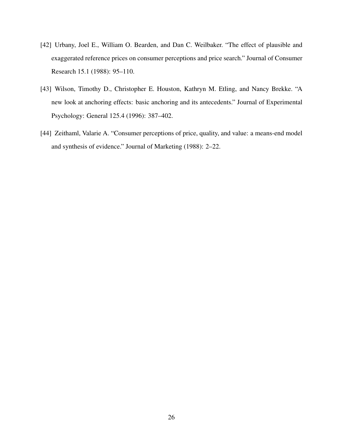- [42] Urbany, Joel E., William O. Bearden, and Dan C. Weilbaker. "The effect of plausible and exaggerated reference prices on consumer perceptions and price search." Journal of Consumer Research 15.1 (1988): 95–110.
- [43] Wilson, Timothy D., Christopher E. Houston, Kathryn M. Etling, and Nancy Brekke. "A new look at anchoring effects: basic anchoring and its antecedents." Journal of Experimental Psychology: General 125.4 (1996): 387–402.
- [44] Zeithaml, Valarie A. "Consumer perceptions of price, quality, and value: a means-end model and synthesis of evidence." Journal of Marketing (1988): 2–22.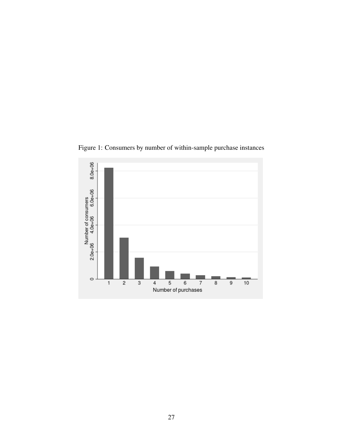

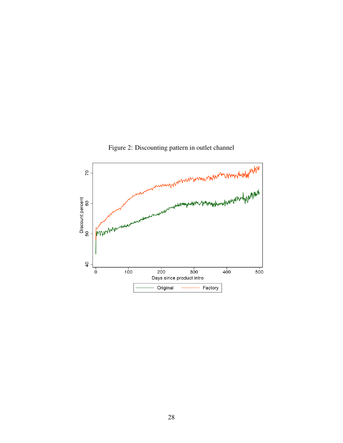

Figure 2: Discounting pattern in outlet channel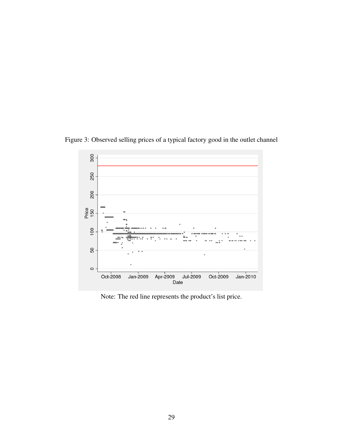Figure 3: Observed selling prices of a typical factory good in the outlet channel



Note: The red line represents the product's list price.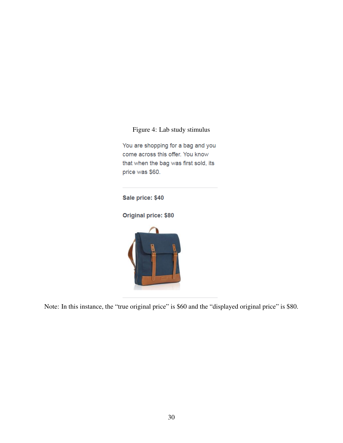#### Figure 4: Lab study stimulus

You are shopping for a bag and you come across this offer. You know that when the bag was first sold, its price was \$60.

Sale price: \$40

Original price: \$80



Note: In this instance, the "true original price" is \$60 and the "displayed original price" is \$80.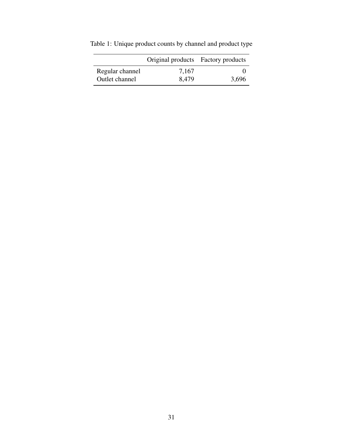|                 | Original products Factory products |       |
|-----------------|------------------------------------|-------|
| Regular channel | 7,167                              |       |
| Outlet channel  | 8,479                              | 3,696 |

Table 1: Unique product counts by channel and product type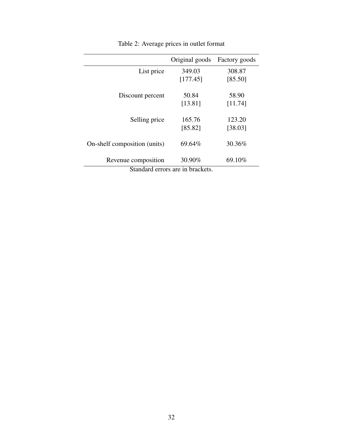| Original goods | Factory goods                    |
|----------------|----------------------------------|
| 349.03         | 308.87                           |
| [177.45]       | [85.50]                          |
| 50.84          | 58.90                            |
| [13.81]        | [11.74]                          |
| 165.76         | 123.20                           |
| [85.82]        | [38.03]                          |
| 69.64%         | 30.36%                           |
| 30.90%         | 69.10%                           |
|                | Standard errors are in brackets. |

Table 2: Average prices in outlet format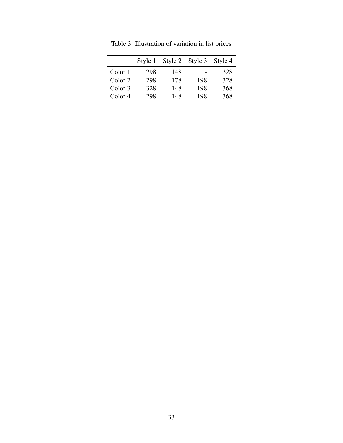|                    | Style 1 |     | Style 2 Style 3 | Style 4 |
|--------------------|---------|-----|-----------------|---------|
| Color 1            | 298     | 148 |                 | 328     |
| Color 2            | 298     | 178 | 198             | 328     |
| Color 3            | 328     | 148 | 198             | 368     |
| Color <sub>4</sub> | 298     | 148 | 198             | 368     |

Table 3: Illustration of variation in list prices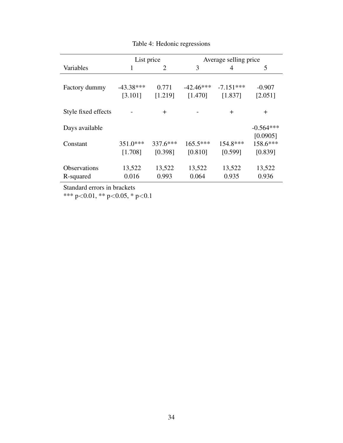|                     | List price  |          | Average selling price |             |             |
|---------------------|-------------|----------|-----------------------|-------------|-------------|
| Variables           | 1           | 2        | 3                     | 4           | 5           |
|                     |             |          |                       |             |             |
| Factory dummy       | $-43.38***$ | 0.771    | $-42.46***$           | $-7.151***$ | $-0.907$    |
|                     | [3.101]     | [1.219]  | [1.470]               | [1.837]     | [2.051]     |
| Style fixed effects |             | $\pm$    |                       | $\pm$       | $\pm$       |
| Days available      |             |          |                       |             | $-0.564***$ |
|                     |             |          |                       |             | [0.0905]    |
| Constant            | $351.0***$  | 337.6*** | $165.5***$            | 154.8***    | 158.6***    |
|                     | [1.708]     | [0.398]  | [0.810]               | [0.599]     | [0.839]     |
| <b>Observations</b> | 13,522      | 13,522   | 13,522                | 13,522      | 13,522      |
| R-squared           | 0.016       | 0.993    | 0.064                 | 0.935       | 0.936       |

Table 4: Hedonic regressions

Standard errors in brackets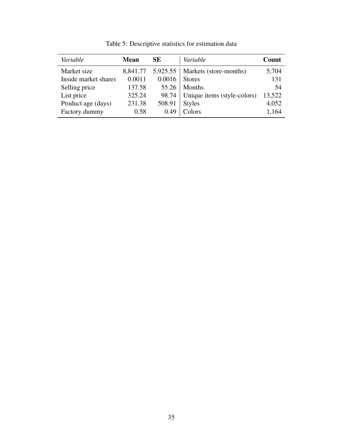| Variable             | <b>Mean</b> | SЕ     | Variable                          | Count  |
|----------------------|-------------|--------|-----------------------------------|--------|
| Market size          | 8,841.77    |        | 5,925.55   Markets (store-months) | 5,704  |
| Inside market shares | 0.0011      | 0.0016 | <b>Stores</b>                     | 131    |
| Selling price        | 137.58      | 55.26  | <b>Months</b>                     | 54     |
| List price           | 325.24      | 98.74  | Unique items (style-colors)       | 13,522 |
| Product age (days)   | 231.38      | 508.91 | <b>Styles</b>                     | 4,052  |
| Factory dummy        | 0.58        | 0.49   | Colors                            | 1,164  |

Table 5: Descriptive statistics for estimation data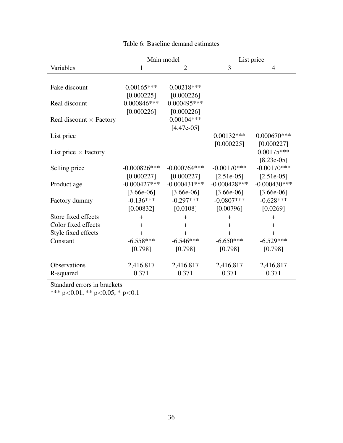|                                |                 | Main model     |                | List price     |
|--------------------------------|-----------------|----------------|----------------|----------------|
| Variables                      | 1               | $\overline{2}$ | 3              | $\overline{4}$ |
| Fake discount                  | $0.00165***$    | $0.00218***$   |                |                |
|                                | [0.000225]      | [0.000226]     |                |                |
| Real discount                  | $0.000846***$   | $0.000495***$  |                |                |
|                                | [0.000226]      | [0.000226]     |                |                |
| Real discount $\times$ Factory |                 | $0.00104***$   |                |                |
|                                |                 | $[4.47e-05]$   |                |                |
| List price                     |                 |                | $0.00132***$   | $0.000670***$  |
|                                |                 |                | [0.000225]     | [0.000227]     |
| List price $\times$ Factory    |                 |                |                | $0.00175***$   |
|                                |                 |                |                | $[8.23e-05]$   |
| Selling price                  | $-0.000826***$  | $-0.000764***$ | $-0.00170$ *** | $-0.00170***$  |
|                                | [0.000227]      | [0.000227]     | $[2.51e-05]$   | $[2.51e-05]$   |
| Product age                    | $-0.000427$ *** | $-0.000431***$ | $-0.000428***$ | $-0.000430***$ |
|                                | $[3.66e-06]$    | $[3.66e-06]$   | $[3.66e-06]$   | $[3.66e-06]$   |
| Factory dummy                  | $-0.136***$     | $-0.297***$    | $-0.0807***$   | $-0.628***$    |
|                                | [0.00832]       | [0.0108]       | [0.00796]      | [0.0269]       |
| Store fixed effects            | $+$             | $+$            | $+$            | $\pm$          |
| Color fixed effects            | $+$             | $\pm$          | $+$            | $\pm$          |
| Style fixed effects            | $+$             | $+$            | $+$            | $+$            |
| Constant                       | $-6.558***$     | $-6.546***$    | $-6.650***$    | $-6.529***$    |
|                                | [0.798]         | [0.798]        | [0.798]        | [0.798]        |
| Observations                   | 2,416,817       | 2,416,817      | 2,416,817      | 2,416,817      |
| R-squared                      | 0.371           | 0.371          | 0.371          | 0.371          |
|                                |                 |                |                |                |

## Table 6: Baseline demand estimates

Standard errors in brackets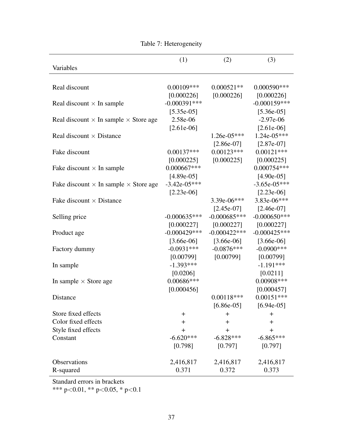|                                                     | (1)            | (2)                          | (3)                        |
|-----------------------------------------------------|----------------|------------------------------|----------------------------|
| Variables                                           |                |                              |                            |
|                                                     |                |                              |                            |
| Real discount                                       | $0.00109$ ***  | $0.000521**$                 | $0.000590***$              |
|                                                     | [0.000226]     | [0.000226]                   | [0.000226]                 |
| Real discount $\times$ In sample                    | $-0.000391***$ |                              | $-0.000159***$             |
|                                                     | $[5.35e-05]$   |                              | $[5.36e-05]$               |
| Real discount $\times$ In sample $\times$ Store age | 2.58e-06       |                              | $-2.97e-06$                |
|                                                     | $[2.61e-06]$   |                              | $[2.61e-06]$               |
| Real discount $\times$ Distance                     |                | 1.26e-05***                  | $1.24e-05***$              |
|                                                     |                | $[2.86e-07]$                 | $[2.87e-07]$               |
| Fake discount                                       | $0.00137***$   | $0.00123***$                 | $0.00121***$               |
|                                                     | [0.000225]     | [0.000225]                   | [0.000225]                 |
| Fake discount $\times$ In sample                    | $0.000667***$  |                              | 0.000754***                |
|                                                     | $[4.89e-05]$   |                              | $[4.90e-05]$               |
| Fake discount $\times$ In sample $\times$ Store age | $-3.42e-05***$ |                              | $-3.65e-05***$             |
|                                                     | $[2.23e-06]$   |                              | $[2.23e-06]$               |
| Fake discount $\times$ Distance                     |                | 3.39e-06***                  | 3.83e-06***                |
|                                                     |                | $[2.45e-07]$                 | $[2.46e-07]$               |
| Selling price                                       | $-0.000635***$ | $-0.000685***$               | $-0.000650***$             |
|                                                     | [0.000227]     | [0.000227]                   | [0.000227]                 |
| Product age                                         | $-0.000429***$ | $-0.000422***$               | $-0.000425***$             |
|                                                     | $[3.66e-06]$   | $[3.66e-06]$                 | $[3.66e-06]$               |
| Factory dummy                                       | $-0.0931***$   | $-0.0876***$                 | $-0.0900$ ***              |
|                                                     | [0.00799]      | [0.00799]                    | [0.00799]                  |
| In sample                                           | $-1.393***$    |                              | $-1.191***$                |
|                                                     | [0.0206]       |                              | [0.0211]                   |
| In sample $\times$ Store age                        | $0.00686***$   |                              | $0.00908***$               |
|                                                     | [0.000456]     |                              | [0.000457]<br>$0.00151***$ |
| Distance                                            |                | $0.00118***$<br>$[6.86e-05]$ | $[6.94e-05]$               |
| Store fixed effects                                 | $\bm{+}$       | $\pm$                        | $\pm$                      |
| Color fixed effects                                 | $\ddag$        | $\pm$                        | $\pm$                      |
| Style fixed effects                                 | $\pm$          | $\pm$                        | $\pm$                      |
| Constant                                            | $-6.620***$    | $-6.828***$                  | $-6.865***$                |
|                                                     | [0.798]        | [0.797]                      | [0.797]                    |
|                                                     |                |                              |                            |
| Observations                                        | 2,416,817      | 2,416,817                    | 2,416,817                  |
| R-squared                                           | 0.371          | 0.372                        | 0.373                      |

Table 7: Heterogeneity

Standard errors in brackets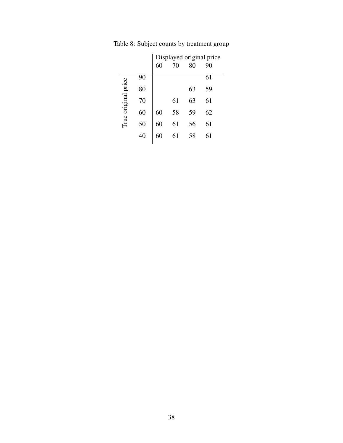|                     |    | 60 | 70 | 80 | Displayed original price<br>90 |
|---------------------|----|----|----|----|--------------------------------|
|                     | 90 |    |    |    | 61                             |
|                     | 80 |    |    | 63 | 59                             |
| True original price | 70 |    | 61 | 63 | 61                             |
|                     | 60 | 60 | 58 | 59 | 62                             |
|                     | 50 | 60 | 61 | 56 | 61                             |
|                     | 40 | 60 | 61 | 58 | 61                             |
|                     |    |    |    |    |                                |

Table 8: Subject counts by treatment group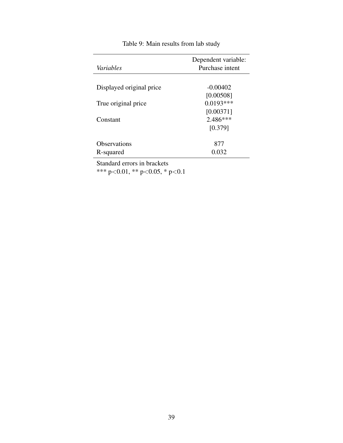| Variables                 | Dependent variable:<br>Purchase intent |
|---------------------------|----------------------------------------|
| Displayed original price  | $-0.00402$                             |
| True original price       | [0.00508]<br>$0.0193***$<br>[0.00371]  |
| Constant                  | $2.486***$<br>[0.379]                  |
| Observations<br>R-squared | 877<br>0.032                           |

### Table 9: Main results from lab study

Standard errors in brackets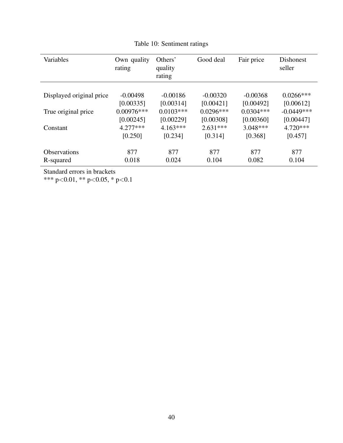| Variables                | Own quality<br>rating | Others'<br>quality<br>rating | Good deal   | Fair price  | <b>Dishonest</b><br>seller |
|--------------------------|-----------------------|------------------------------|-------------|-------------|----------------------------|
| Displayed original price | $-0.00498$            | $-0.00186$                   | $-0.00320$  | $-0.00368$  | $0.0266$ ***               |
|                          | [0.00335]             | [0.00314]                    | [0.00421]   | [0.00492]   | [0.00612]                  |
| True original price      | $0.00976***$          | $0.0103***$                  | $0.0296***$ | $0.0304***$ | $-0.0449***$               |
| Constant                 | [0.00245]             | [0.00229]                    | [0.00308]   | [0.00360]   | [0.00447]                  |
|                          | $4.277***$            | $4.163***$                   | $2.631***$  | $3.048***$  | $4.720***$                 |
|                          | [0.250]               | [0.234]                      | [0.314]     | [0.368]     | [0.457]                    |
| <b>Observations</b>      | 877                   | 877                          | 877         | 877         | 877                        |
| R-squared                | 0.018                 | 0.024                        | 0.104       | 0.082       | 0.104                      |

## Table 10: Sentiment ratings

Standard errors in brackets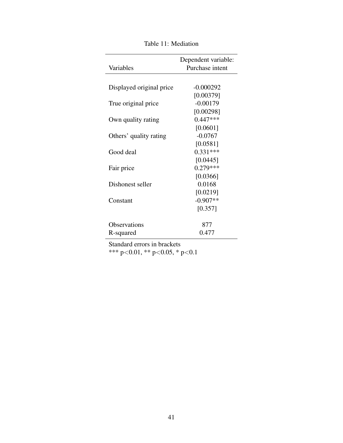|                          | Dependent variable: |
|--------------------------|---------------------|
| Variables                | Purchase intent     |
|                          |                     |
| Displayed original price | $-0.000292$         |
|                          | [0.00379]           |
| True original price      | $-0.00179$          |
|                          | [0.00298]           |
| Own quality rating       | $0.447***$          |
|                          | [0.0601]            |
| Others' quality rating   | $-0.0767$           |
|                          | [0.0581]            |
| Good deal                | $0.331***$          |
|                          | [0.0445]            |
| Fair price               | $0.279***$          |
|                          | [0.0366]            |
| Dishonest seller         | 0.0168              |
|                          | [0.0219]            |
| Constant                 | $-0.907**$          |
|                          | [0.357]             |
| Observations             | 877                 |
| R-squared                | 0.477               |
|                          |                     |

Table 11: Mediation

Standard errors in brackets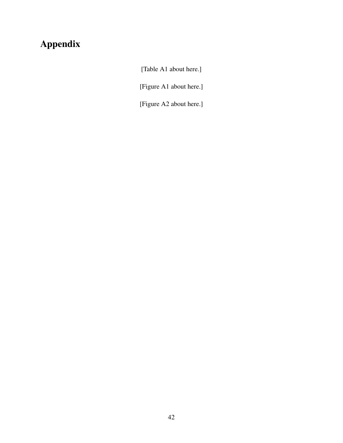## Appendix

[Table A1 about here.]

[Figure A1 about here.]

[Figure A2 about here.]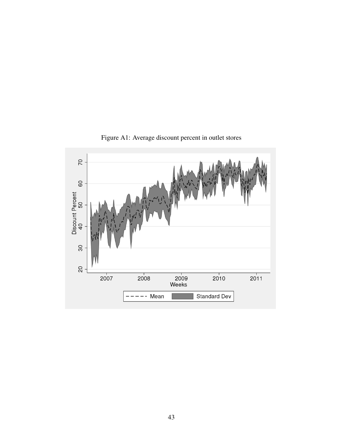

Figure A1: Average discount percent in outlet stores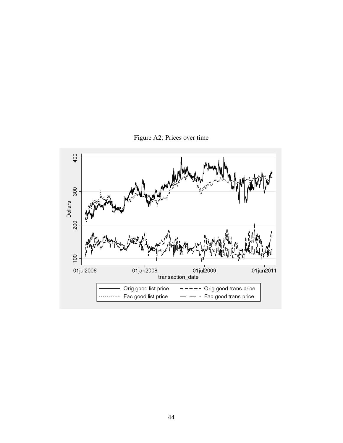Figure A2: Prices over time